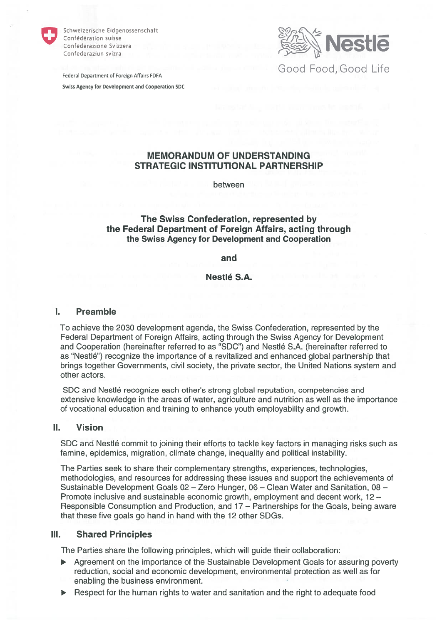

Schweizerische Eidgenossenschaft Confédération suisse Confederazione Svizzera Confederaziun svizra

Nestle Federal Department of Foreign Affairs FDFA FEDERAL STREET THE GOOD FOOD, GOOD LIFE

Swiss Agency for Development and Cooperation SDC

# MEMORANDUM OF UNDERSTANDING STRATEGIC INSTITUTIONAL PARTNERSHIP

between

# The Swiss Confederation, represented by the Federal Department of Foreign Affairs, acting through the Swiss Agency for Development and Cooperation

## and

Nestlé S.A.

#### $\mathbf{L}$ Preamble

To achieve the 2030 development agenda, the Swiss Confederation, represented by the Federal Department of Foreign Affairs, acting through the Swiss Agency for Development and Cooperation (hereinafter referred to as "SDC") and Nestlé S.A. (hereinafter referred to as "Nestlé") recognize the importance of a revitalized and enhanced global partnership that brings together Governments, civil society, the private sector, the United Nations System and other actors.

SDC and Nestlö recognize each other's strong global reputation, competencies and extensive knowledge in the areas of water, agriculture and nutrition as weil as the importance of vocational education and training to enhance youth employability and growth.

#### $II.$ Vision

SDC and Nestlé commit to joining their efforts to tackle key factors in managing risks such as famine, epidemics, migration, climate change, inequality and political instabiiity.

The Parties seek to share their complementary strengths, experiences, technologies, methodologies, and resources for addressing these issues and suppor<sup>t</sup> the achievements of Sustainable Development Goals 02 - Zero Hunger, 06 - Clean Water and Sanitation. 08 -Promote inclusive and sustainable economic growth, employment and decent work, 12 -Responsible Consumption and Production, and 17— Partnerships for the Goals, being aware that these five goais go hand in hand with the 12 other SDGs.

# III. Shared Principles

The Parties share the following principles, which will guide their collaboration:

- $\blacktriangleright$ Agreement on the importance of the Sustainable Development Goais for assuring poverty reduction, social and economic development, environmental protection as weil as tor enabling the business environment.
- Respect for the human rights to water and sanitation and the right to adequate food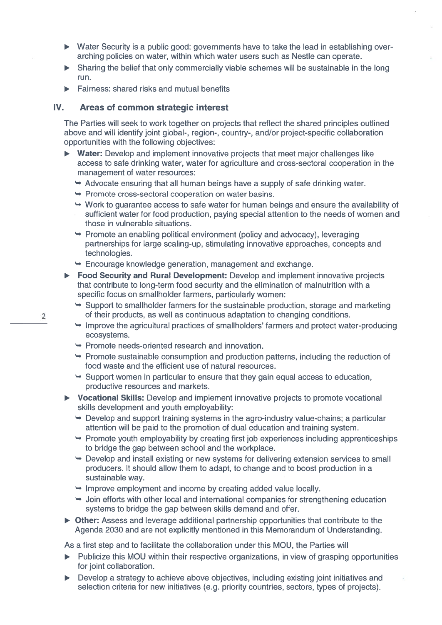- Water Security is <sup>a</sup> public good: governments have to take the Iead in establishing over arching policies on water, within which water users such as Nestle can operate.
- $\triangleright$  Sharing the belief that only commercially viable schemes will be sustainable in the long tun.
- Fairness: shared tisks and mutual benefits

#### IV.. Areas of common strategic interest

The Parties will seek to work together on projects that reflect the shared principles outiined above and will identify joint global-, region-, country-, and/or project-specific collaboration opportunities with the following objectives:

- **Water:** Develop and implement innovative projects that meet major challenges like access to safe drinking watet, watet tor agriculture and cross-sectoral cooperation in the managemen<sup>t</sup> of water resources:
	- Advocate ensuting that all human beings have <sup>a</sup> supply of safe drinking water.
	- Promote cross-sectoral cooperation on water basins.
	- Work to guarantee access to safe watet for human beings and ensute the availability of sufficient watet for food production, paying special attention to the needs of women and those in vulnerable situations.
	- Promote an enabling political environment (policy and advocacy), leveraging partnerships tor large scaling-up, stimulating innovative approaches, concepts and technologies.
	- Encourage knowledge generation, management and exchange
- **Food Security and Rural Development:** Develop and implement innovative projects that contribute to long-term food security and the elimination of malnutrition with <sup>a</sup> specific focus on smallholder farmers, particulariy women:
	- $\rightarrow$  Support to smallholder farmers for the sustainable production, storage and marketing of their products, as weil as continuous adaptation to changing conditions.
	- $\rightarrow$  Improve the agricultural practices of smallholders' farmers and protect water-producing ecosystems.
	- Promote needs-oriented research and innovation.

2

- Promote sustainable consumption and production patterns, including the reduction of food waste and the efficient use of natural resources.
- $\rightarrow$  Support women in particular to ensure that they gain equal access to education, productive resources and markets.
- Vocational Skills: Develop and implement innovative projects to promote vocationa skills development and youth employability:
	- $\rightarrow$  Develop and support training systems in the agro-industry value-chains; a particular attention will be paid to the promotion ot dual education and training System.
	- Promote youth employability by creating first job experiences including apprenticeships to bridge the gap between school and the workplace.
	- $\rightarrow$  Develop and install existing or new systems for delivering extension services to small producers. lt should allow them to adapt, to change and to boost production in <sup>a</sup> sustainable way.
	- $\rightarrow$  Improve employment and income by creating added value locally.
	- Join efforts with other local and international companies for strengthening education systems to bridge the gap between skills demand and offer.
- Other: Assess and leverage additional partnership opportunities that contribute to the Agenda 2030 and are not explicitly mentioned in this Memorandum of Understanding.

As a fitst step and to tacilitate the coliaboration under this MOU, the Parties will

- Publicize this MOU within their respective organizations, in view of grasping opportunities for joint collaboration.
- Develop a strategy to achieve above objectives, including existing joint initiatives and selection criteria for new initiatives (e.g. priority countries, sectors, types of projects).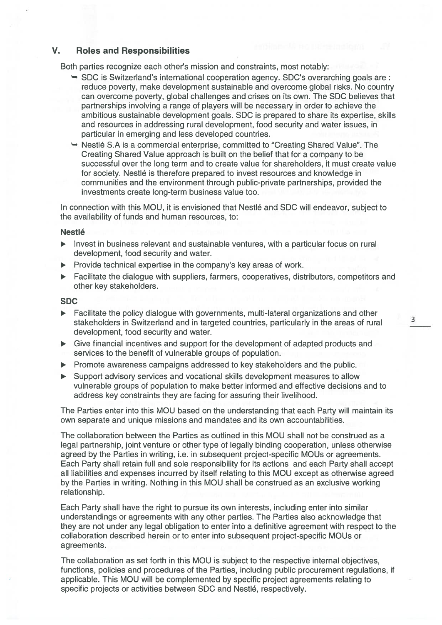## V. Roles and Responsibilities

Both parties recognize each other's mission and constraints, most notably:

- $\rightarrow$  SDC is Switzerland's international cooperation agency. SDC's overarching goals are: reduce poverty, make development sustainable and overcome global risks. No country can overcome poverty, global challenges and crises on its own. The SDC believes that partnerships involving <sup>a</sup> range of players will be necessary in order to achieve the ambitious sustainable development goals. SDC is prepared to share its expertise, skills and resources in addressing rural development, food security and water issues, in particular in emerging and less developed countries. Roles and Responsibilities<br>
is parties recognize each other's mission and constraints, most notably:<br>  $\frac{1}{2}$  so CC is Switzerland's international cooperation agency. SDC's overarching goals are<br>  $\frac{1}{2}$  reduce poverty
- $\rightarrow$  Nestlé S.A is a commercial enterprise, committed to "Creating Shared Value". The Creating Shared Value approach is built on the belief that for <sup>a</sup> company to be successful over the long term and to create value for shareholders, it must create value for society. Nestlö is therefore prepared to invest resources and knowledge in communities and the environment through public-private partnerships, provided the investments create long-term business value too.

In connection with this MOU, it is envisioned that Nestlé and SDC will endeavor, subject to the availability of funds and human resources, to:

### **Nestlé**

- $\triangleright$  Invest in business relevant and sustainable ventures, with a particular focus on rural development, food security and water.
- $\triangleright$  Provide technical expertise in the company's key areas of work.
- Facilitate the dialogue with suppliers, farmers, cooperatives, distributors, competitors and other key stakeholders.

### SDC

- Facilitate the policy dialogue with governments, multi-lateral organizations and other development, food security and water.
- Give financial incentives and suppor<sup>t</sup> for the development of adapted products and services to the benefit of vulnerable groups of population.
- $\triangleright$  Promote awareness campaigns addressed to key stakeholders and the public.
- Support advisory services and vocational skills development measures to allow vulnerable groups of population to make better informed and effective decisions and to address key constraints they are facing for assuring their livelihood.

The Parties enter into this MDU based on the understanding that each Party will maintain its own separate and unique missions and mandates and its own accountabilities.

The collaboration between the Parties as outlined in this MOU shall not be construed as <sup>a</sup> legal partnership, joint venture or other type of legally binding cooperation, unless otherwise agreed by the Parties in writing, i.e. in subsequent project-specific MOUs or agreements. Each Party shall retain full and sole responsibility for its actions and each Party shall accep<sup>t</sup> all liabilities and expenses incurred by itseif relating to this MOU excep<sup>t</sup> as otherwise agreed by the Parties in writing. Nothing in this MOU shall be construed as an exclusive working relationship.

Each Party shall have the right to pursue its own interests, including enter into similar understandings or agreements with any other parties. The Parties also acknowledge that they are not under any legal obligation to enter into <sup>a</sup> definitive agreemen<sup>t</sup> with respec<sup>t</sup> to the collaboration described herein or to enter into subsequent project-specific MOUs or agreements.

The collaboration as set forth in this MOU is subject to the respective internal objectives, functions, policies and procedures of the Parties, including public procuremen<sup>t</sup> regulations, if applicable. This MQU will be complemented by specific project agreements relating to specific projects or activities between SDC and Nestlé, respectively.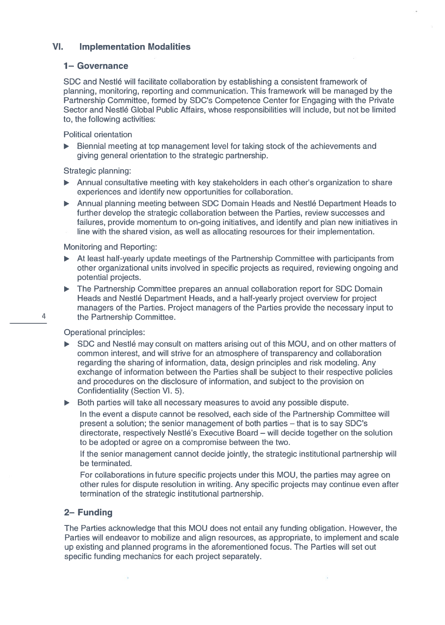#### VI.Implementation Modalities

## 1– Governance

SDC and Nestlé will facilitate collaboration by establishing a consistent framework of planning, monitoring, reporting and communication. This tramework will be managed by the Partnership Committee, formed by SDC's Competence Center tor Engaging with the Private Sector and Nestlé Global Public Affairs, whose responsibilities will include, but not be limitec to, the following activities:

Political orientation

Biennial meeting at top managemen<sup>t</sup> level for taking stock of the achievements and giving general orientation to the strategic partnership.

Strategic planning:

- Annual consultative meeting with key stakeholders in each other's organization to share experiences and identify new opportunities for collaboration.
- Annual planning meeting between SDC Domain Heads and Nestlé Department Heads to further develop the strategic collaboration between the Parties, review successes and failures, provide momentum to on-going initiatives, and identify and plan new initiatives in line with the shared vision, as weil as allocating resources for their implementation.

Monitoring and Reporting:

- At least half-yeariy update meetings of the Partnership Committee with participants trom other organizational units involved in specific projects as required, reviewing ongoing and potential projects.
- The Partnership Committee prepares an annuai coiiaboration repor<sup>t</sup> tor SDC Domain Heads and Nestlé Department Heads, and a half-yearly project overview for project managers of the Parties. Project managers of the Parties provide the necessary input to 4 **the Partnership Committee.**

Operational principles:

SDC and Nestlé may consult on matters arising out of this MOU, and on other matters of common interest, and will strive tor an atmosphere of transparency and collaboration regarding the sharing of information, data, design principles and risk modeling. Any exchange of information between the Parties shall be subject to their respective policies and procedures on the disclosure ot information, and subject to the provision on Confidentiaiity (Section VI. 5).

Both parties will take all necessary measures to avoid any possible dispute.

In the event <sup>a</sup> dispute cannot be resolved, each side of the Partnership Committee will presen<sup>t</sup> <sup>a</sup> solution; the senior managemen<sup>t</sup> of both parties — that is to say SDC's directorate, respectively Nestlé's Executive Board – will decide together on the solution to be adopted or agree on <sup>a</sup> compromise between the two.

If the senior managemen<sup>t</sup> cannot decide jointly, the strategic institutional partnership will be terminated.

For collaborations in future specific projects under this MOU, the parties may agree on other ruies for dispute resolution in writing. Any specific projects may continue even after termination of the strategic institutional partnership.

# 2— Funding

 $\sim$ 

The Parties acknowiedge that this MOU does not entail any funding obligation. However, the Parties will endeavor to mobilize and align resources, as appropriate, to implement and scale up existing and planned programs in the aforementioned focus. The Parties will set out specific funding mechanics for each project separately.

 $\overline{\mathcal{A}}$ 

4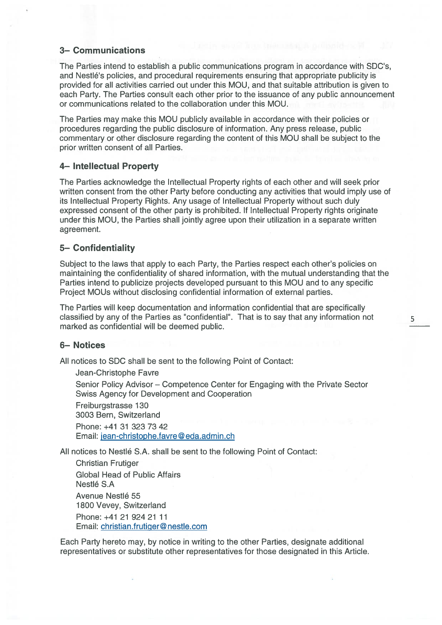## 3— Communications

The Parties intend to establish <sup>a</sup> public communications program in accordance with SDC's, and Nestlé's policies, and procedural requirements ensuring that appropriate publicity is provided for all activities carried out under this MOU, and that suitable attribution is given to each Party. The Parties consult each other prior to the issuance of any public announcement or communications related to the collaboration under this MOU.

The Parties may make this MOU publicly available in accordance with their policies or procedures regarding the public disclosure of information. Any press release, public commentary or other disclosure regarding the content of this MOU shall be subject to the prior written consent of all Parties.

## 4— Intellectual Property

The Parties acknowledge the Intellectual Property rights of each other and will seek prior written consent from the other Party before conducting any activities that would imply use of its Intellectual Property Rights. Any usage of Intellectual Property without such duly expressed consent of the other party is prohibited. If lntellectual Property rights originate under this MOU, the Parties shall jointly agree upon their utilization in <sup>a</sup> separate written agreement.

## 5— Confidentiality

Subject to the laws that apply to each Party, the Parties respec<sup>t</sup> each other's policies on maintaining the confidentiality of shared information, with the mutual understanding that the Parties intend to publicize projects developed pursuan<sup>t</sup> to this MOU and to any specific Project MOUs without disclosing confidential information of external parties.

The Parties will keep documentation and information confidential that are specifically classified by any of the Parties as "confidential". That is to say that any information not marked as confidential will be deemed public.

## 6— Notices

All notices to SDC shall be sent to the following Point of Contact:

Jean-Christophe Favre Senior Policy Advisor — Competence Center for Engaging with the Private Sector Swiss Agency for Development and Cooperation Freiburgstrasse 130 3003 Bern, Switzerland

Phone: +41 31 323 73 42 Email: jean-christophe.favre@eda.admin.ch

All notices to Nestlé S.A. shall be sent to the following Point of Contact:

Christian Frutiger Global Head of Public Affairs Nestlé S.A Avenue Nestlé 55 1800 Vevey, Switzerland Phone: +41 21 924 21 11 Email: christian .frutiQer@ nestle.com

Each Party hereto may, by notice in writing to the other Parties, designate additional representatives or substitute other representatives for those designated in this Article.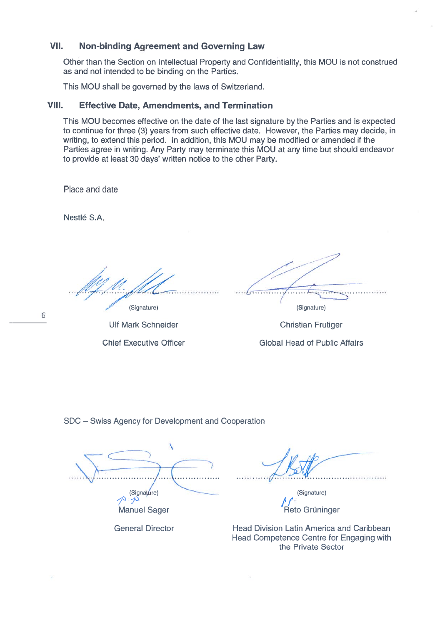### VII.Non-binding Agreement and Governing Law

Other than the Section on lntellectual Property and Confidentiality, this MOU is not construed as and not intended to be binding on the Parties

This MOU shall be governed by the laws of Switzerland.

#### VIII.Effective Date, Amendments, and Termination

This MOU becomes effective on the date of the last signature by the Parties and is expectec to continue for three (3) years from such effective date. However, the Parties may decide, in writing, to extend this period. In addition, this MOU may be modifled or amended if the Parties agree in writing. Any Party may terminate this MQU at any time but should endeavor to provide at least 30 days' written notice to the other Party.

Place and date

Nestlé S.A

(Signature)

Ulf Mark Schneider

Chief Executive Officer

(Signature)

Christian Frutiger Global Head of Public Affairs

SDC — Swiss Agency for Development and Cooperation

 $\overrightarrow{S}$ プ Manuel Sager

General Director

(Signature) /' $\overline{a}$ Reto Grüninger

Head Division Latin America and Caribbean Head Competence Centre for Engaging with the Private Sector

6